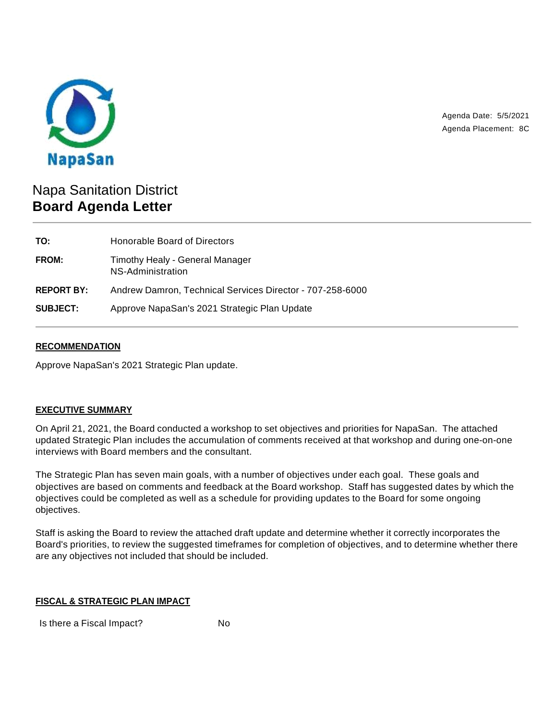

Agenda Date: 5/5/2021 Agenda Placement: 8C

# Napa Sanitation District **Board Agenda Letter**

| TO:               | Honorable Board of Directors                              |
|-------------------|-----------------------------------------------------------|
| <b>FROM:</b>      | Timothy Healy - General Manager<br>NS-Administration      |
| <b>REPORT BY:</b> | Andrew Damron, Technical Services Director - 707-258-6000 |
| <b>SUBJECT:</b>   | Approve NapaSan's 2021 Strategic Plan Update              |

## **RECOMMENDATION**

Approve NapaSan's 2021 Strategic Plan update.

## **EXECUTIVE SUMMARY**

On April 21, 2021, the Board conducted a workshop to set objectives and priorities for NapaSan. The attached updated Strategic Plan includes the accumulation of comments received at that workshop and during one-on-one interviews with Board members and the consultant.

The Strategic Plan has seven main goals, with a number of objectives under each goal. These goals and objectives are based on comments and feedback at the Board workshop. Staff has suggested dates by which the objectives could be completed as well as a schedule for providing updates to the Board for some ongoing objectives.

Staff is asking the Board to review the attached draft update and determine whether it correctly incorporates the Board's priorities, to review the suggested timeframes for completion of objectives, and to determine whether there are any objectives not included that should be included.

### **FISCAL & STRATEGIC PLAN IMPACT**

Is there a Fiscal Impact? No